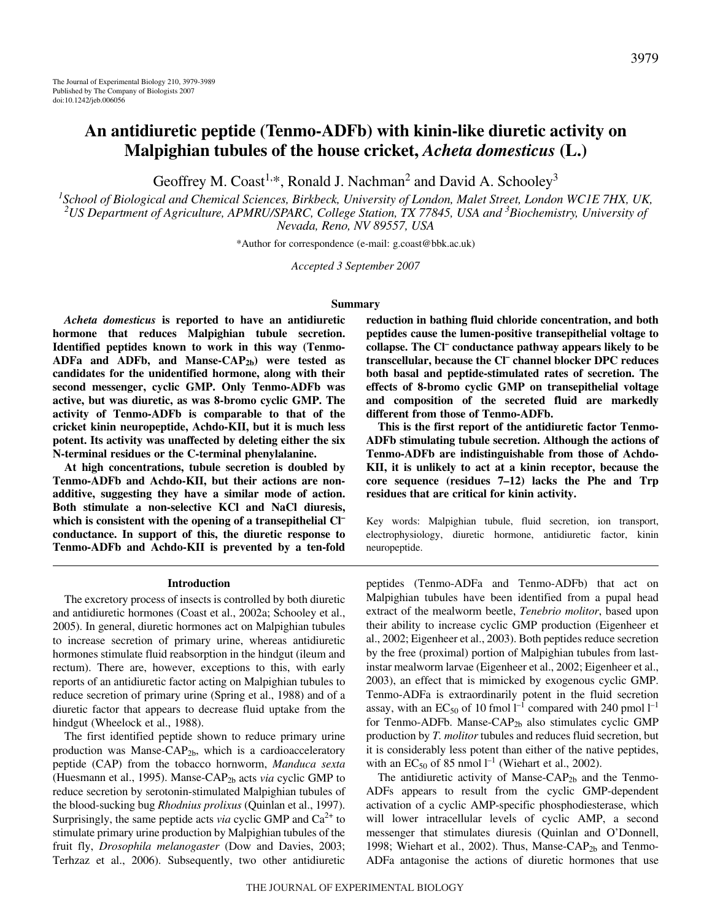Geoffrey M. Coast<sup>1,\*</sup>, Ronald J. Nachman<sup>2</sup> and David A. Schooley<sup>3</sup>

*1 School of Biological and Chemical Sciences, Birkbeck, University of London, Malet Street, London WC1E 7HX, UK, 2 US Department of Agriculture, APMRU/SPARC, College Station, TX 77845, USA and 3 Biochemistry, University of Nevada, Reno, NV 89557, USA*

\*Author for correspondence (e-mail: g.coast@bbk.ac.uk)

*Accepted 3 September 2007*

### **Summary**

*Acheta domesticus* **is reported to have an antidiuretic hormone that reduces Malpighian tubule secretion. Identified peptides known to work in this way (Tenmo-**ADFa and ADFb, and Manse-CAP<sub>2b</sub>) were tested as **candidates for the unidentified hormone, along with their second messenger, cyclic GMP. Only Tenmo-ADFb was active, but was diuretic, as was 8-bromo cyclic GMP. The activity of Tenmo-ADFb is comparable to that of the cricket kinin neuropeptide, Achdo-KII, but it is much less potent. Its activity was unaffected by deleting either the six N-terminal residues or the C-terminal phenylalanine.**

**At high concentrations, tubule secretion is doubled by Tenmo-ADFb and Achdo-KII, but their actions are nonadditive, suggesting they have a similar mode of action. Both stimulate a non-selective KCl and NaCl diuresis, which is consistent with the opening of a transepithelial Cl– conductance. In support of this, the diuretic response to Tenmo-ADFb and Achdo-KII is prevented by a ten-fold**

#### **Introduction**

The excretory process of insects is controlled by both diuretic and antidiuretic hormones (Coast et al., 2002a; Schooley et al., 2005). In general, diuretic hormones act on Malpighian tubules to increase secretion of primary urine, whereas antidiuretic hormones stimulate fluid reabsorption in the hindgut (ileum and rectum). There are, however, exceptions to this, with early reports of an antidiuretic factor acting on Malpighian tubules to reduce secretion of primary urine (Spring et al., 1988) and of a diuretic factor that appears to decrease fluid uptake from the hindgut (Wheelock et al., 1988).

The first identified peptide shown to reduce primary urine production was Manse-CAP<sub>2b</sub>, which is a cardioacceleratory peptide (CAP) from the tobacco hornworm, *Manduca sexta* (Huesmann et al., 1995). Manse-CAP2b acts *via* cyclic GMP to reduce secretion by serotonin-stimulated Malpighian tubules of the blood-sucking bug *Rhodnius prolixus* (Quinlan et al., 1997). Surprisingly, the same peptide acts *via* cyclic GMP and  $Ca<sup>2+</sup>$  to stimulate primary urine production by Malpighian tubules of the fruit fly, *Drosophila melanogaster* (Dow and Davies, 2003; Terhzaz et al., 2006). Subsequently, two other antidiuretic **reduction in bathing fluid chloride concentration, and both peptides cause the lumen-positive transepithelial voltage to collapse. The Cl– conductance pathway appears likely to be transcellular, because the Cl– channel blocker DPC reduces both basal and peptide-stimulated rates of secretion. The effects of 8-bromo cyclic GMP on transepithelial voltage and composition of the secreted fluid are markedly different from those of Tenmo-ADFb.**

**This is the first report of the antidiuretic factor Tenmo-ADFb stimulating tubule secretion. Although the actions of Tenmo-ADFb are indistinguishable from those of Achdo-KII, it is unlikely to act at a kinin receptor, because the core sequence (residues 7–12) lacks the Phe and Trp residues that are critical for kinin activity.**

Key words: Malpighian tubule, fluid secretion, ion transport, electrophysiology, diuretic hormone, antidiuretic factor, kinin neuropeptide.

peptides (Tenmo-ADFa and Tenmo-ADFb) that act on Malpighian tubules have been identified from a pupal head extract of the mealworm beetle, *Tenebrio molitor*, based upon their ability to increase cyclic GMP production (Eigenheer et al., 2002; Eigenheer et al., 2003). Both peptides reduce secretion by the free (proximal) portion of Malpighian tubules from lastinstar mealworm larvae (Eigenheer et al., 2002; Eigenheer et al., 2003), an effect that is mimicked by exogenous cyclic GMP. Tenmo-ADFa is extraordinarily potent in the fluid secretion assay, with an  $EC_{50}$  of 10 fmol  $l^{-1}$  compared with 240 pmol  $l^{-1}$ for Tenmo-ADFb. Manse-CAP<sub>2b</sub> also stimulates cyclic GMP production by *T. molitor* tubules and reduces fluid secretion, but it is considerably less potent than either of the native peptides, with an  $EC_{50}$  of 85 nmol  $l^{-1}$  (Wiehart et al., 2002).

The antidiuretic activity of Manse-CAP $_{2b}$  and the Tenmo-ADFs appears to result from the cyclic GMP-dependent activation of a cyclic AMP-specific phosphodiesterase, which will lower intracellular levels of cyclic AMP, a second messenger that stimulates diuresis (Quinlan and O'Donnell, 1998; Wiehart et al., 2002). Thus, Manse-CAP<sub>2b</sub> and Tenmo-ADFa antagonise the actions of diuretic hormones that use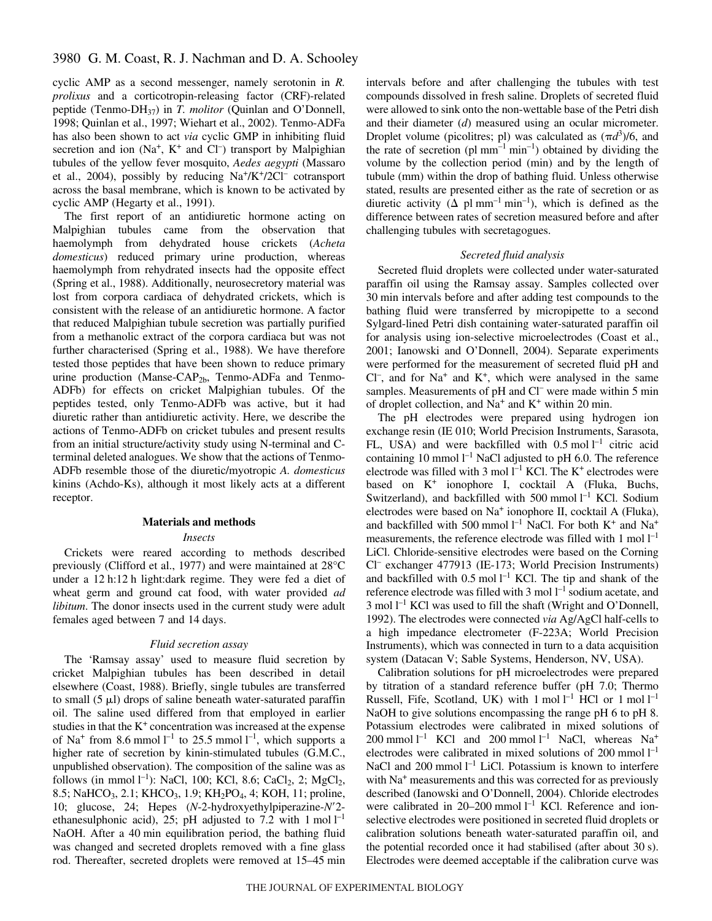cyclic AMP as a second messenger, namely serotonin in *R. prolixus* and a corticotropin-releasing factor (CRF)-related peptide (Tenmo-DH37) in *T. molitor* (Quinlan and O'Donnell, 1998; Quinlan et al., 1997; Wiehart et al., 2002). Tenmo-ADFa has also been shown to act *via* cyclic GMP in inhibiting fluid secretion and ion  $(Na^{+}, K^{+}$  and  $Cl^{-})$  transport by Malpighian tubules of the yellow fever mosquito, *Aedes aegypti* (Massaro et al., 2004), possibly by reducing  $Na^+/K^+/2Cl^-$  cotransport across the basal membrane, which is known to be activated by cyclic AMP (Hegarty et al., 1991).

The first report of an antidiuretic hormone acting on Malpighian tubules came from the observation that haemolymph from dehydrated house crickets (*Acheta domesticus*) reduced primary urine production, whereas haemolymph from rehydrated insects had the opposite effect (Spring et al., 1988). Additionally, neurosecretory material was lost from corpora cardiaca of dehydrated crickets, which is consistent with the release of an antidiuretic hormone. A factor that reduced Malpighian tubule secretion was partially purified from a methanolic extract of the corpora cardiaca but was not further characterised (Spring et al., 1988). We have therefore tested those peptides that have been shown to reduce primary urine production (Manse-CAP<sub>2b</sub>, Tenmo-ADFa and Tenmo-ADFb) for effects on cricket Malpighian tubules. Of the peptides tested, only Tenmo-ADFb was active, but it had diuretic rather than antidiuretic activity. Here, we describe the actions of Tenmo-ADFb on cricket tubules and present results from an initial structure/activity study using N-terminal and Cterminal deleted analogues. We show that the actions of Tenmo-ADFb resemble those of the diuretic/myotropic *A. domesticus* kinins (Achdo-Ks), although it most likely acts at a different receptor.

### **Materials and methods**

### *Insects*

Crickets were reared according to methods described previously (Clifford et al., 1977) and were maintained at 28°C under a 12 h:12 h light:dark regime. They were fed a diet of wheat germ and ground cat food, with water provided *ad libitum*. The donor insects used in the current study were adult females aged between 7 and 14 days.

### *Fluid secretion assay*

The 'Ramsay assay' used to measure fluid secretion by cricket Malpighian tubules has been described in detail elsewhere (Coast, 1988). Briefly, single tubules are transferred to small  $(5 \mu I)$  drops of saline beneath water-saturated paraffin oil. The saline used differed from that employed in earlier studies in that the  $K<sup>+</sup>$  concentration was increased at the expense of Na<sup>+</sup> from 8.6 mmol  $l^{-1}$  to 25.5 mmol  $l^{-1}$ , which supports a higher rate of secretion by kinin-stimulated tubules (G.M.C., unpublished observation). The composition of the saline was as follows (in mmol  $l^{-1}$ ): NaCl, 100; KCl, 8.6; CaCl<sub>2</sub>, 2; MgCl<sub>2</sub>, 8.5; NaHCO<sub>3</sub>, 2.1; KHCO<sub>3</sub>, 1.9; KH<sub>2</sub>PO<sub>4</sub>, 4; KOH, 11; proline, 10; glucose, 24; Hepes (*N*-2-hydroxyethylpiperazine-*N*'2ethanesulphonic acid), 25; pH adjusted to 7.2 with 1 mol  $l^{-1}$ NaOH. After a 40 min equilibration period, the bathing fluid was changed and secreted droplets removed with a fine glass rod. Thereafter, secreted droplets were removed at 15–45 min intervals before and after challenging the tubules with test compounds dissolved in fresh saline. Droplets of secreted fluid were allowed to sink onto the non-wettable base of the Petri dish and their diameter (*d*) measured using an ocular micrometer. Droplet volume (picolitres; pl) was calculated as  $(\pi d^3)/6$ , and the rate of secretion (pl  $mm^{-1}$  min<sup>-1</sup>) obtained by dividing the volume by the collection period (min) and by the length of tubule (mm) within the drop of bathing fluid. Unless otherwise stated, results are presented either as the rate of secretion or as diuretic activity ( $\Delta$  pl mm<sup>-1</sup> min<sup>-1</sup>), which is defined as the difference between rates of secretion measured before and after challenging tubules with secretagogues.

## *Secreted fluid analysis*

Secreted fluid droplets were collected under water-saturated paraffin oil using the Ramsay assay. Samples collected over 30 min intervals before and after adding test compounds to the bathing fluid were transferred by micropipette to a second Sylgard-lined Petri dish containing water-saturated paraffin oil for analysis using ion-selective microelectrodes (Coast et al., 2001; Ianowski and O'Donnell, 2004). Separate experiments were performed for the measurement of secreted fluid pH and  $Cl^-$ , and for Na<sup>+</sup> and K<sup>+</sup>, which were analysed in the same samples. Measurements of pH and Cl<sup>-</sup> were made within 5 min of droplet collection, and  $Na^+$  and  $K^+$  within 20 min.

The pH electrodes were prepared using hydrogen ion exchange resin (IE 010; World Precision Instruments, Sarasota, FL, USA) and were backfilled with  $0.5 \text{ mol} \, \text{l}^{-1}$  citric acid containing 10 mmol  $l^{-1}$  NaCl adjusted to pH 6.0. The reference electrode was filled with 3 mol  $l^{-1}$  KCl. The K<sup>+</sup> electrodes were based on  $K^+$  ionophore I, cocktail A (Fluka, Buchs, Switzerland), and backfilled with 500 mmol  $l^{-1}$  KCl. Sodium electrodes were based on Na<sup>+</sup> ionophore II, cocktail A (Fluka), and backfilled with 500 mmol  $l^{-1}$  NaCl. For both  $K^+$  and Na<sup>+</sup> measurements, the reference electrode was filled with 1 mol  $I^{-1}$ LiCl. Chloride-sensitive electrodes were based on the Corning Cl– exchanger 477913 (IE-173; World Precision Instruments) and backfilled with  $0.5 \text{ mol } l^{-1}$  KCl. The tip and shank of the reference electrode was filled with 3 mol  $l^{-1}$  sodium acetate, and 3 mol  $l^{-1}$  KCl was used to fill the shaft (Wright and O'Donnell, 1992). The electrodes were connected *via* Ag/AgCl half-cells to a high impedance electrometer (F-223A; World Precision Instruments), which was connected in turn to a data acquisition system (Datacan V; Sable Systems, Henderson, NV, USA).

Calibration solutions for pH microelectrodes were prepared by titration of a standard reference buffer (pH 7.0; Thermo Russell, Fife, Scotland, UK) with 1 mol  $l^{-1}$  HCl or 1 mol  $l^{-1}$ NaOH to give solutions encompassing the range pH 6 to pH 8. Potassium electrodes were calibrated in mixed solutions of 200 mmol  $l^{-1}$  KCl and 200 mmol  $l^{-1}$  NaCl, whereas Na<sup>+</sup> electrodes were calibrated in mixed solutions of  $200$  mmol  $l^{-1}$ NaCl and  $200$  mmol  $l^{-1}$  LiCl. Potassium is known to interfere with Na<sup>+</sup> measurements and this was corrected for as previously described (Ianowski and O'Donnell, 2004). Chloride electrodes were calibrated in 20–200 mmol  $l^{-1}$  KCl. Reference and ionselective electrodes were positioned in secreted fluid droplets or calibration solutions beneath water-saturated paraffin oil, and the potential recorded once it had stabilised (after about 30 s). Electrodes were deemed acceptable if the calibration curve was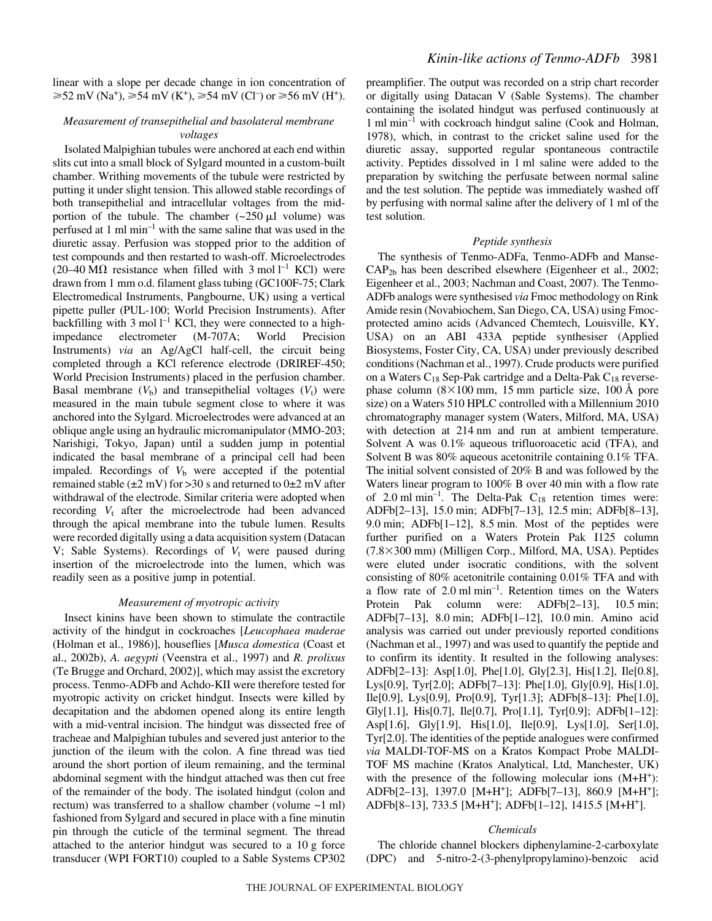## *Measurement of transepithelial and basolateral membrane voltages*

 $\geq 52$  mV (Na<sup>+</sup>),  $\geq 54$  mV (K<sup>+</sup>),  $\geq 54$  mV (Cl<sup>-</sup>) or  $\geq 56$  mV (H<sup>+</sup>).

Isolated Malpighian tubules were anchored at each end within slits cut into a small block of Sylgard mounted in a custom-built chamber. Writhing movements of the tubule were restricted by putting it under slight tension. This allowed stable recordings of both transepithelial and intracellular voltages from the midportion of the tubule. The chamber  $(\sim 250 \,\mu\text{J}$  volume) was perfused at 1 ml min<sup>-1</sup> with the same saline that was used in the diuretic assay. Perfusion was stopped prior to the addition of test compounds and then restarted to wash-off. Microelectrodes (20–40 M $\Omega$  resistance when filled with 3 mol l<sup>-1</sup> KCl) were drawn from 1 mm o.d. filament glass tubing (GC100F-75; Clark Electromedical Instruments, Pangbourne, UK) using a vertical pipette puller (PUL-100; World Precision Instruments). After backfilling with 3 mol  $l^{-1}$  KCl, they were connected to a highimpedance electrometer (M-707A; World Precision Instruments) *via* an Ag/AgCl half-cell, the circuit being completed through a KCl reference electrode (DRIREF-450; World Precision Instruments) placed in the perfusion chamber. Basal membrane  $(V<sub>b</sub>)$  and transepithelial voltages  $(V<sub>t</sub>)$  were measured in the main tubule segment close to where it was anchored into the Sylgard. Microelectrodes were advanced at an oblique angle using an hydraulic micromanipulator (MMO-203; Narishigi, Tokyo, Japan) until a sudden jump in potential indicated the basal membrane of a principal cell had been impaled. Recordings of  $V<sub>b</sub>$  were accepted if the potential remained stable ( $\pm 2$  mV) for >30 s and returned to 0 $\pm 2$  mV after withdrawal of the electrode. Similar criteria were adopted when recording  $V_t$  after the microelectrode had been advanced through the apical membrane into the tubule lumen. Results were recorded digitally using a data acquisition system (Datacan V; Sable Systems). Recordings of  $V_t$  were paused during insertion of the microelectrode into the lumen, which was readily seen as a positive jump in potential.

### *Measurement of myotropic activity*

Insect kinins have been shown to stimulate the contractile activity of the hindgut in cockroaches [*Leucophaea maderae* (Holman et al., 1986)], houseflies [*Musca domestica* (Coast et al., 2002b), *A. aegypti* (Veenstra et al., 1997) and *R. prolixus* (Te Brugge and Orchard, 2002)], which may assist the excretory process. Tenmo-ADFb and Achdo-KII were therefore tested for myotropic activity on cricket hindgut. Insects were killed by decapitation and the abdomen opened along its entire length with a mid-ventral incision. The hindgut was dissected free of tracheae and Malpighian tubules and severed just anterior to the junction of the ileum with the colon. A fine thread was tied around the short portion of ileum remaining, and the terminal abdominal segment with the hindgut attached was then cut free of the remainder of the body. The isolated hindgut (colon and rectum) was transferred to a shallow chamber (volume  $\sim$ 1 ml) fashioned from Sylgard and secured in place with a fine minutin pin through the cuticle of the terminal segment. The thread attached to the anterior hindgut was secured to a  $10\text{ g}$  force transducer (WPI FORT10) coupled to a Sable Systems CP302 preamplifier. The output was recorded on a strip chart recorder or digitally using Datacan V (Sable Systems). The chamber containing the isolated hindgut was perfused continuously at  $1 \text{ mil min}^{-1}$  with cockroach hindgut saline (Cook and Holman, 1978), which, in contrast to the cricket saline used for the diuretic assay, supported regular spontaneous contractile activity. Peptides dissolved in 1 ml saline were added to the preparation by switching the perfusate between normal saline and the test solution. The peptide was immediately washed off by perfusing with normal saline after the delivery of 1 ml of the test solution.

## *Peptide synthesis*

The synthesis of Tenmo-ADFa, Tenmo-ADFb and Manse-CAP2b has been described elsewhere (Eigenheer et al., 2002; Eigenheer et al., 2003; Nachman and Coast, 2007). The Tenmo-ADFb analogs were synthesised *via* Fmoc methodology on Rink Amide resin (Novabiochem, San Diego, CA, USA) using Fmocprotected amino acids (Advanced Chemtech, Louisville, KY, USA) on an ABI 433A peptide synthesiser (Applied Biosystems, Foster City, CA, USA) under previously described conditions (Nachman et al., 1997). Crude products were purified on a Waters  $C_{18}$  Sep-Pak cartridge and a Delta-Pak  $C_{18}$  reversephase column  $(8\times100$  mm, 15 mm particle size, 100 Å pore size) on a Waters 510 HPLC controlled with a Millennium 2010 chromatography manager system (Waters, Milford, MA, USA) with detection at 214 nm and run at ambient temperature. Solvent A was 0.1% aqueous trifluoroacetic acid (TFA), and Solvent B was 80% aqueous acetonitrile containing 0.1% TFA. The initial solvent consisted of 20% B and was followed by the Waters linear program to  $100\%$  B over 40 min with a flow rate of 2.0 ml min<sup>-1</sup>. The Delta-Pak  $C_{18}$  retention times were: ADFb[2-13], 15.0 min; ADFb[7-13], 12.5 min; ADFb[8-13], 9.0 min; ADFb $[1-12]$ , 8.5 min. Most of the peptides were further purified on a Waters Protein Pak I125 column (7.8×300 mm) (Milligen Corp., Milford, MA, USA). Peptides were eluted under isocratic conditions, with the solvent consisting of 80% acetonitrile containing 0.01% TFA and with a flow rate of  $2.0 \text{ ml min}^{-1}$ . Retention times on the Waters Protein Pak column were: ADFb[2–13], 10.5 min; ADFb[7-13], 8.0 min; ADFb[1-12], 10.0 min. Amino acid analysis was carried out under previously reported conditions (Nachman et al., 1997) and was used to quantify the peptide and to confirm its identity. It resulted in the following analyses: ADFb[2–13]: Asp[1.0], Phe[1.0], Gly[2.3], His[1.2], Ile[0.8], Lys[0.9], Tyr[2.0]; ADFb[7–13]: Phe[1.0], Gly[0.9], His[1.0], Ile[0.9], Lys[0.9], Pro[0.9], Tyr[1.3]; ADFb[8–13]: Phe[1.0], Gly[1.1], His[0.7], Ile[0.7], Pro[1.1], Tyr[0.9]; ADFb[1–12]: Asp[1.6], Gly[1.9], His[1.0], Ile[0.9], Lys[1.0], Ser[1.0], Tyr[2.0]. The identities of the peptide analogues were confirmed *via* MALDI-TOF-MS on a Kratos Kompact Probe MALDI-TOF MS machine (Kratos Analytical, Ltd, Manchester, UK) with the presence of the following molecular ions  $(M+H^+)$ : ADFb[2–13], 1397.0 [M+H+]; ADFb[7–13], 860.9 [M+H+]; ADFb[8–13], 733.5 [M+H+]; ADFb[1–12], 1415.5 [M+H+].

## *Chemicals*

The chloride channel blockers diphenylamine-2-carboxylate (DPC) and 5-nitro-2-(3-phenylpropylamino)-benzoic acid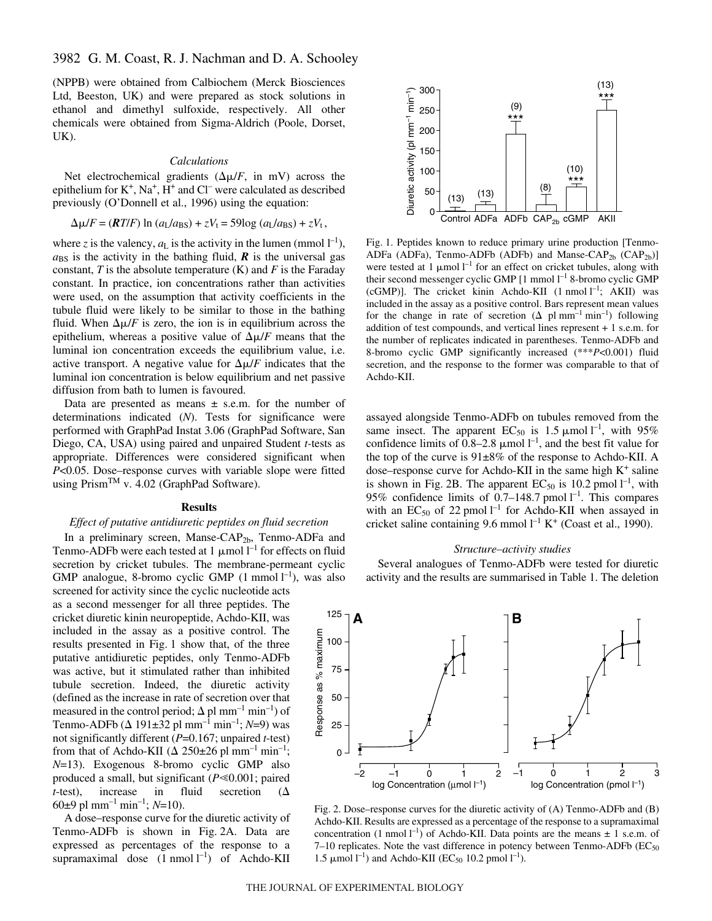(NPPB) were obtained from Calbiochem (Merck Biosciences Ltd, Beeston, UK) and were prepared as stock solutions in ethanol and dimethyl sulfoxide, respectively. All other chemicals were obtained from Sigma-Aldrich (Poole, Dorset, UK).

### *Calculations*

Net electrochemical gradients  $(\Delta \mu / F, \text{ in } mV)$  across the epithelium for  $K^+$ ,  $Na^+$ ,  $H^+$  and  $Cl^-$  were calculated as described previously (O'Donnell et al., 1996) using the equation:

$$
\Delta \mu / F = (RT/F) \ln (a_L/a_{BS}) + zV_t = 59 \log (a_L/a_{BS}) + zV_t,
$$

where *z* is the valency,  $a<sub>L</sub>$  is the activity in the lumen (mmol  $l<sup>-1</sup>$ ),  $a_{\rm BS}$  is the activity in the bathing fluid,  $\bm{R}$  is the universal gas constant,  $T$  is the absolute temperature  $(K)$  and  $F$  is the Faraday constant. In practice, ion concentrations rather than activities were used, on the assumption that activity coefficients in the tubule fluid were likely to be similar to those in the bathing fluid. When  $\Delta \mu / F$  is zero, the ion is in equilibrium across the epithelium, whereas a positive value of  $\Delta \mu / F$  means that the luminal ion concentration exceeds the equilibrium value, i.e. active transport. A negative value for  $\Delta \mu / F$  indicates that the luminal ion concentration is below equilibrium and net passive diffusion from bath to lumen is favoured.

Data are presented as means  $\pm$  s.e.m. for the number of determinations indicated (*N*). Tests for significance were performed with GraphPad Instat 3.06 (GraphPad Software, San Diego, CA, USA) using paired and unpaired Student *t-*tests as appropriate. Differences were considered significant when *P*<0.05. Dose–response curves with variable slope were fitted using Prism™ v. 4.02 (GraphPad Software).

### **Results**

## *Effect of putative antidiuretic peptides on fluid secretion*

In a preliminary screen, Manse-CAP<sub>2b</sub>, Tenmo-ADFa and Tenmo-ADFb were each tested at 1  $\mu$ mol l<sup>-1</sup> for effects on fluid secretion by cricket tubules. The membrane-permeant cyclic GMP analogue, 8-bromo cyclic GMP  $(1 \text{ mmol } l^{-1})$ , was also

screened for activity since the cyclic nucleotide acts as a second messenger for all three peptides. The cricket diuretic kinin neuropeptide, Achdo-KII, was included in the assay as a positive control. The results presented in Fig. 1 show that, of the three putative antidiuretic peptides, only Tenmo-ADFb was active, but it stimulated rather than inhibited tubule secretion. Indeed, the diuretic activity (defined as the increase in rate of secretion over that measured in the control period;  $\Delta$  pl mm<sup>-1</sup> min<sup>-1</sup>) of Tenmo-ADFb ( $\triangle$  191±32 pl mm<sup>-1</sup> min<sup>-1</sup>; *N*=9) was not significantly different (*P*=0.167; unpaired *t*-test) from that of Achdo-KII ( $\Delta$  250±26 pl mm<sup>-1</sup> min<sup>-1</sup>; *N*=13). Exogenous 8-bromo cyclic GMP also produced a small, but significant ( $P \le 0.001$ ; paired *t*-test), increase in fluid secretion  $(\Delta$ 60 $\pm$ 9 pl mm<sup>-1</sup> min<sup>-1</sup>; *N*=10).

A dose–response curve for the diuretic activity of Tenmo-ADFb is shown in Fig. 2A. Data are expressed as percentages of the response to a supramaximal dose  $(1 \text{ nmol } l^{-1})$  of Achdo-KII



Fig. 1. Peptides known to reduce primary urine production [Tenmo-ADFa (ADFa), Tenmo-ADFb (ADFb) and Manse-CAP<sub>2b</sub> (CAP<sub>2b</sub>)] were tested at 1  $\mu$ mol l<sup>-1</sup> for an effect on cricket tubules, along with their second messenger cyclic GMP  $[1 \text{ mmol } l^{-1}$  8-bromo cyclic GMP (cGMP)]. The cricket kinin Achdo-KII  $(1 \text{ nmol } l^{-1})$ ; AKII) was included in the assay as a positive control. Bars represent mean values for the change in rate of secretion  $(\Delta$  pl mm<sup>-1</sup> min<sup>-1</sup>) following addition of test compounds, and vertical lines represent + 1 s.e.m. for the number of replicates indicated in parentheses. Tenmo-ADFb and 8-bromo cyclic GMP significantly increased (\*\*\**P*<0.001) fluid secretion, and the response to the former was comparable to that of Achdo-KII.

assayed alongside Tenmo-ADFb on tubules removed from the same insect. The apparent  $EC_{50}$  is 1.5  $\mu$ mol l<sup>-1</sup>, with 95% confidence limits of  $0.8-2.8 \mu$  mol  $l^{-1}$ , and the best fit value for the top of the curve is 91±8% of the response to Achdo-KII. A dose–response curve for Achdo-KII in the same high  $K^+$  saline is shown in Fig. 2B. The apparent  $EC_{50}$  is 10.2 pmol  $l^{-1}$ , with 95% confidence limits of 0.7–148.7 pmol  $l^{-1}$ . This compares with an  $EC_{50}$  of 22 pmol  $l^{-1}$  for Achdo-KII when assayed in cricket saline containing 9.6 mmol  $l^{-1}$  K<sup>+</sup> (Coast et al., 1990).

#### *Structure–activity studies*

Several analogues of Tenmo-ADFb were tested for diuretic activity and the results are summarised in Table 1. The deletion



Fig. 2. Dose–response curves for the diuretic activity of  $(A)$  Tenmo-ADFb and  $(B)$ Achdo-KII. Results are expressed as a percentage of the response to a supramaximal concentration (1 nmol  $l^{-1}$ ) of Achdo-KII. Data points are the means  $\pm$  1 s.e.m. of 7-10 replicates. Note the vast difference in potency between Tenmo-ADFb  $(EC_{50}$ 1.5 μmol<sup>-1</sup>) and Achdo-KII (EC<sub>50</sub> 10.2 pmol<sup>1-1</sup>).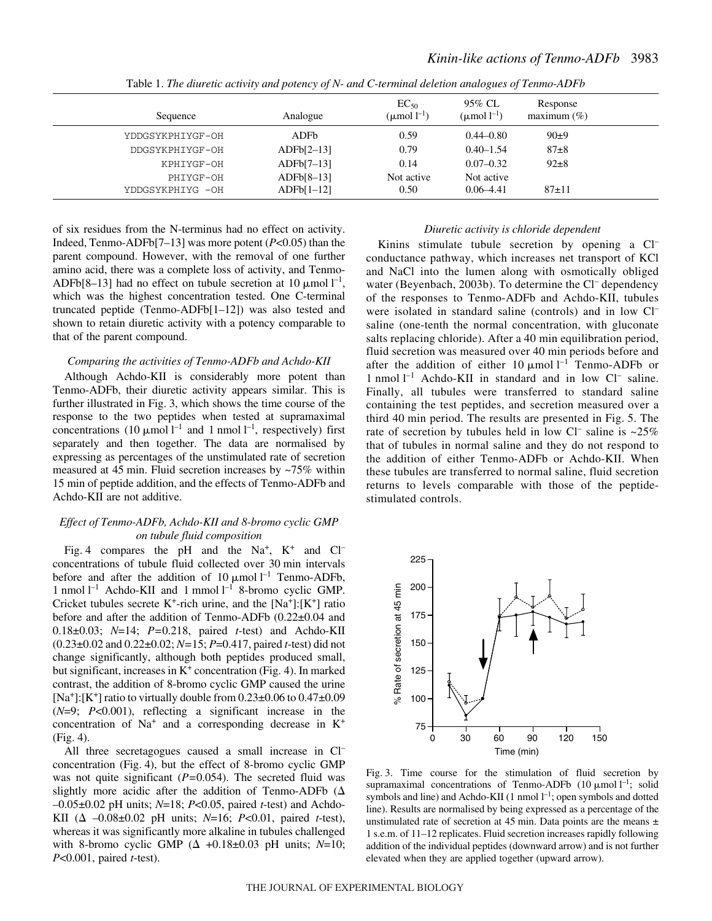| Sequence                      | Analogue                     | $EC_{50}$<br>(µmol $l^{-1}$ ) | 95% CL<br>( $\mu$ mol $l^{-1}$ ) | Response<br>maximum $(\% )$ |
|-------------------------------|------------------------------|-------------------------------|----------------------------------|-----------------------------|
| YDDGSYKPHIYGF-OH              | ADFb                         | 0.59                          | $0.44 - 0.80$                    | $90+9$                      |
| DDGSYKPHIYGF-OH               | ADFb[2–13]                   | 0.79                          | $0.40 - 1.54$                    | $87+8$                      |
| KPHIYGF-OH                    | $ADFb[7-13]$                 | 0.14                          | $0.07 - 0.32$                    | $92 \pm 8$                  |
| PHIYGF-OH<br>YDDGSYKPHIYG -OH | $ADFb[8-13]$<br>$ADFb[1-12]$ | Not active<br>0.50            | Not active<br>$0.06 - 4.41$      | $87+11$                     |

Table 1. *The diuretic activity and potency of N- and C-terminal deletion analogues of Tenmo-ADFb*

of six residues from the N-terminus had no effect on activity. Indeed, Tenmo-ADFb[7–13] was more potent (*P*<0.05) than the parent compound. However, with the removal of one further amino acid, there was a complete loss of activity, and Tenmo-ADFb[8–13] had no effect on tubule secretion at 10  $\mu$ mol l<sup>-1</sup>, which was the highest concentration tested. One C-terminal truncated peptide (Tenmo-ADFb[1–12]) was also tested and shown to retain diuretic activity with a potency comparable to that of the parent compound.

### *Comparing the activities of Tenmo-ADFb and Achdo-KII*

Although Achdo-KII is considerably more potent than Tenmo-ADFb, their diuretic activity appears similar. This is further illustrated in Fig. 3, which shows the time course of the response to the two peptides when tested at supramaximal concentrations  $(10 \mu \text{mol})^{-1}$  and 1 nmol  $l^{-1}$ , respectively) first separately and then together. The data are normalised by expressing as percentages of the unstimulated rate of secretion measured at 45 min. Fluid secretion increases by  $\sim$ 75% within 15 min of peptide addition, and the effects of Tenmo-ADFb and Achdo-KII are not additive.

## *Effect of Tenmo-ADFb, Achdo-KII and 8-bromo cyclic GMP on tubule fluid composition*

Fig. 4 compares the pH and the Na<sup>+</sup>, K<sup>+</sup> and Cl<sup>-</sup> concentrations of tubule fluid collected over 30 min intervals before and after the addition of 10  $\mu$ mol l<sup>-1</sup> Tenmo-ADFb, 1 nmol<sup>1-1</sup> Achdo-KII and 1 mmol<sup>1-1</sup> 8-bromo cyclic GMP. Cricket tubules secrete  $K^+$ -rich urine, and the [Na<sup>+</sup>]:[ $K^+$ ] ratio before and after the addition of Tenmo-ADFb (0.22±0.04 and 0.18±0.03; *N*=14; *P=*0.218, paired *t*-test) and Achdo-KII (0.23±0.02 and 0.22±0.02; *N=*15; *P*=0.417, paired *t*-test) did not change significantly, although both peptides produced small, but significant, increases in  $K^+$  concentration (Fig. 4). In marked contrast, the addition of 8-bromo cyclic GMP caused the urine  $[Na^+]$ :[K<sup>+</sup>] ratio to virtually double from  $0.23\pm0.06$  to  $0.47\pm0.09$ (*N*=9; *P*<0.001), reflecting a significant increase in the concentration of  $Na<sup>+</sup>$  and a corresponding decrease in  $K<sup>+</sup>$  $(Fig. 4)$ .

All three secretagogues caused a small increase in Cl– concentration (Fig. 4), but the effect of 8-bromo cyclic GMP was not quite significant (*P=*0.054). The secreted fluid was slightly more acidic after the addition of Tenmo-ADFb  $(\Delta)$ –0.05±0.02 pH units; *N*=18; *P*<0.05, paired *t*-test) and Achdo-KII ( $\Delta$  -0.08±0.02 pH units; *N*=16; *P<0.01*, paired *t*-test), whereas it was significantly more alkaline in tubules challenged with 8-bromo cyclic GMP  $(\Delta +0.18 \pm 0.03 \text{ pH units}; N=10;$ *P*<0.001, paired *t*-test).

### *Diuretic activity is chloride dependent*

Kinins stimulate tubule secretion by opening a Cl<sup>-</sup> conductance pathway, which increases net transport of KCl and NaCl into the lumen along with osmotically obliged water (Beyenbach, 2003b). To determine the Cl<sup>–</sup> dependency of the responses to Tenmo-ADFb and Achdo-KII, tubules were isolated in standard saline (controls) and in low Cl– saline (one-tenth the normal concentration, with gluconate salts replacing chloride). After a 40 min equilibration period, fluid secretion was measured over 40 min periods before and after the addition of either 10  $\mu$ mol l<sup>-1</sup> Tenmo-ADFb or 1 nmol  $l^{-1}$  Achdo-KII in standard and in low Cl<sup>-</sup> saline. Finally, all tubules were transferred to standard saline containing the test peptides, and secretion measured over a third 40 min period. The results are presented in Fig. 5. The rate of secretion by tubules held in low Cl<sup>-</sup> saline is  $\sim$ 25% that of tubules in normal saline and they do not respond to the addition of either Tenmo-ADFb or Achdo-KII. When these tubules are transferred to normal saline, fluid secretion returns to levels comparable with those of the peptidestimulated controls.



Fig. 3. Time course for the stimulation of fluid secretion by supramaximal concentrations of Tenmo-ADFb  $(10 \mu \text{mol})^{-1}$ ; solid symbols and line) and Achdo-KII  $(1 \text{ nmol } l^{-1})$ ; open symbols and dotted line). Results are normalised by being expressed as a percentage of the unstimulated rate of secretion at 45 min. Data points are the means  $\pm$ 1 s.e.m. of 11–12 replicates. Fluid secretion increases rapidly following addition of the individual peptides (downward arrow) and is not further elevated when they are applied together (upward arrow).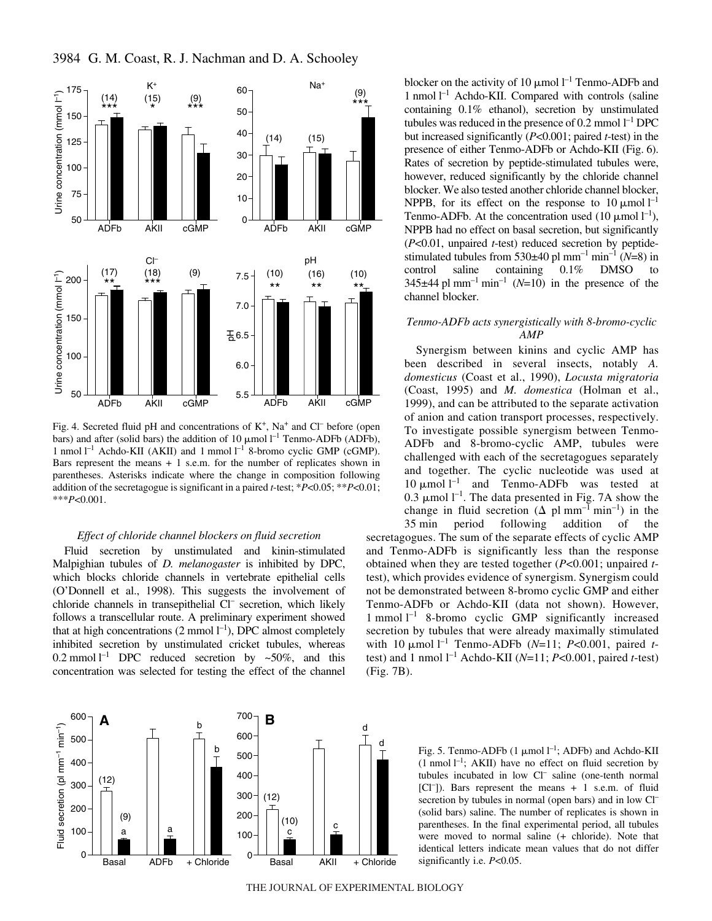



Fig. 4. Secreted fluid pH and concentrations of  $K^+$ , Na<sup>+</sup> and Cl<sup>–</sup> before (open bars) and after (solid bars) the addition of 10  $\mu$ mol l<sup>-1</sup> Tenmo-ADFb (ADFb), 1 nmol  $l^{-1}$  Achdo-KII (AKII) and 1 mmol  $l^{-1}$  8-bromo cyclic GMP (cGMP). Bars represent the means  $+1$  s.e.m. for the number of replicates shown in parentheses. Asterisks indicate where the change in composition following addition of the secretagogue is significant in a paired *t*-test; \**P*<0.05; \*\**P*<0.01; \*\*\**P*<0.001.

### *Effect of chloride channel blockers on fluid secretion*

Fluid secretion by unstimulated and kinin-stimulated Malpighian tubules of *D. melanogaster* is inhibited by DPC, which blocks chloride channels in vertebrate epithelial cells (O'Donnell et al., 1998). This suggests the involvement of chloride channels in transepithelial Cl– secretion, which likely follows a transcellular route. A preliminary experiment showed that at high concentrations  $(2 \text{ mmol } l^{-1})$ , DPC almost completely inhibited secretion by unstimulated cricket tubules, whereas 0.2 mmol  $l^{-1}$  DPC reduced secretion by ~50%, and this concentration was selected for testing the effect of the channel



blocker on the activity of 10  $\mu$ mol l<sup>-1</sup> Tenmo-ADFb and 1 nmol  $l^{-1}$  Achdo-KII. Compared with controls (saline containing 0.1% ethanol), secretion by unstimulated tubules was reduced in the presence of 0.2 mmol  $l^{-1}$  DPC but increased significantly (*P*<0.001; paired *t*-test) in the presence of either Tenmo-ADFb or Achdo-KII (Fig. 6). Rates of secretion by peptide-stimulated tubules were, however, reduced significantly by the chloride channel blocker. We also tested another chloride channel blocker, NPPB, for its effect on the response to  $10 \mu$ mol  $l^{-1}$ Tenmo-ADFb. At the concentration used (10  $\mu$ mol  $l^{-1}$ ), NPPB had no effect on basal secretion, but significantly (*P*<0.01, unpaired *t*-test) reduced secretion by peptidestimulated tubules from  $530\pm40$  pl mm<sup>-1</sup> min<sup>-1</sup> (*N*=8) in control saline containing 0.1% DMSO to  $345\pm44$  pl mm<sup>-1</sup> min<sup>-1</sup> (*N*=10) in the presence of the channel blocker.

# *Tenmo-ADFb acts synergistically with 8-bromo-cyclic AMP*

Synergism between kinins and cyclic AMP has been described in several insects, notably *A. domesticus* (Coast et al., 1990), *Locusta migratoria* (Coast, 1995) and *M. domestica* (Holman et al., 1999), and can be attributed to the separate activation of anion and cation transport processes, respectively. To investigate possible synergism between Tenmo-ADFb and 8-bromo-cyclic AMP, tubules were challenged with each of the secretagogues separately and together. The cyclic nucleotide was used at 10  $\mu$ mol  $l^{-1}$  and Tenmo-ADFb was tested at 0.3  $\mu$ mol l<sup>-1</sup>. The data presented in Fig. 7A show the change in fluid secretion  $(\Delta \text{ pl mm}^{-1} \text{ min}^{-1})$  in the 35 min period following addition of the

period following addition of the secretagogues. The sum of the separate effects of cyclic AMP and Tenmo-ADFb is significantly less than the response obtained when they are tested together (*P*<0.001; unpaired *t*test), which provides evidence of synergism. Synergism could not be demonstrated between 8-bromo cyclic GMP and either Tenmo-ADFb or Achdo-KII (data not shown). However, 1 mmol  $1^{-1}$  8-bromo cyclic GMP significantly increased secretion by tubules that were already maximally stimulated with 10  $\mu$ mol<sup>1-1</sup> Tenmo-ADFb (*N*=11; *P*<0.001, paired *t*test) and 1 nmol  $l^{-1}$  Achdo-KII ( $N=11$ ;  $P<0.001$ , paired *t*-test)  $(Fig. 7B)$ .

> Fig. 5. Tenmo-ADFb  $(1 \mu \text{mol} \, 1^{-1})$ ; ADFb) and Achdo-KII  $(1 \text{ nmol } l^{-1}$ ; AKII) have no effect on fluid secretion by tubules incubated in low Cl– saline (one-tenth normal [Cl– ]). Bars represent the means + 1 s.e.m. of fluid secretion by tubules in normal (open bars) and in low Cl<sup>-</sup> (solid bars) saline. The number of replicates is shown in parentheses. In the final experimental period, all tubules were moved to normal saline (+ chloride). Note that identical letters indicate mean values that do not differ significantly i.e. *P*<0.05.

THE JOURNAL OF EXPERIMENTAL BIOLOGY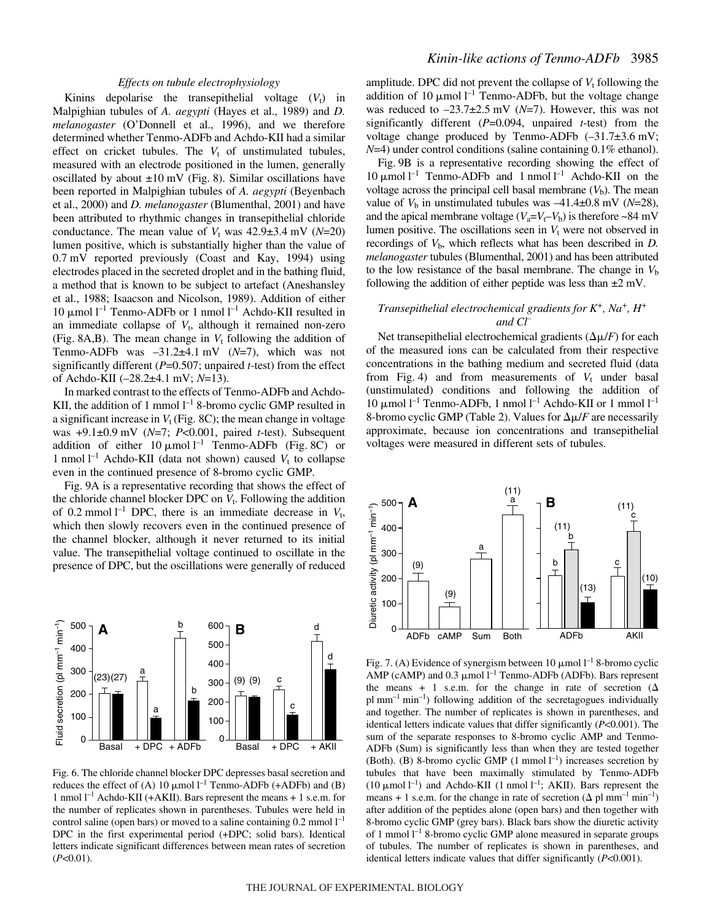### *Effects on tubule electrophysiology*

Kinins depolarise the transepithelial voltage  $(V_t)$  in Malpighian tubules of *A. aegypti* (Hayes et al., 1989) and *D. melanogaster* (O'Donnell et al., 1996), and we therefore determined whether Tenmo-ADFb and Achdo-KII had a similar effect on cricket tubules. The  $V_t$  of unstimulated tubules, measured with an electrode positioned in the lumen, generally oscillated by about  $\pm 10$  mV (Fig. 8). Similar oscillations have been reported in Malpighian tubules of *A. aegypti* (Beyenbach et al., 2000) and *D. melanogaster* (Blumenthal, 2001) and have been attributed to rhythmic changes in transepithelial chloride conductance. The mean value of  $V_t$  was  $42.9 \pm 3.4$  mV ( $N=20$ ) lumen positive, which is substantially higher than the value of  $0.7 \text{ mV}$  reported previously (Coast and Kay, 1994) using electrodes placed in the secreted droplet and in the bathing fluid, a method that is known to be subject to artefact (Aneshansley et al., 1988; Isaacson and Nicolson, 1989). Addition of either 10  $\mu$ mol l<sup>-1</sup> Tenmo-ADFb or 1 nmol l<sup>-1</sup> Achdo-KII resulted in an immediate collapse of  $V_t$ , although it remained non-zero (Fig. 8A,B). The mean change in  $V_t$  following the addition of Tenmo-ADFb was  $-31.2\pm4.1$  mV ( $N=7$ ), which was not significantly different (*P*=0.507; unpaired *t*-test) from the effect of Achdo-KII (–28.2±4.1·mV; *N*=13).

In marked contrast to the effects of Tenmo-ADFb and Achdo-KII, the addition of 1 mmol  $l^{-1}$  8-bromo cyclic GMP resulted in a significant increase in  $V_t$  (Fig. 8C); the mean change in voltage was +9.1±0.9·mV (*N*=7; *P*<0.001, paired *t*-test). Subsequent addition of either  $10 \mu \text{mol} \, \text{m}^{-1}$  Tenmo-ADFb (Fig. 8C) or 1 nmol<sup> $-1$ </sup> Achdo-KII (data not shown) caused  $V_t$  to collapse even in the continued presence of 8-bromo cyclic GMP.

Fig. 9A is a representative recording that shows the effect of the chloride channel blocker DPC on  $V_t$ . Following the addition of 0.2 mmol<sup> $1^{-1}$ </sup> DPC, there is an immediate decrease in  $V_t$ , which then slowly recovers even in the continued presence of the channel blocker, although it never returned to its initial value. The transepithelial voltage continued to oscillate in the presence of DPC, but the oscillations were generally of reduced



Fig. 6. The chloride channel blocker DPC depresses basal secretion and reduces the effect of (A) 10  $\mu$ mol l<sup>-1</sup> Tenmo-ADFb (+ADFb) and (B) 1 nmol<sup> $-1$ </sup> Achdo-KII (+AKII). Bars represent the means + 1 s.e.m. for the number of replicates shown in parentheses. Tubules were held in control saline (open bars) or moved to a saline containing  $0.2$  mmol  $l^{-1}$ DPC in the first experimental period (+DPC; solid bars). Identical letters indicate significant differences between mean rates of secretion (*P*<0.01).

amplitude. DPC did not prevent the collapse of  $V_t$  following the addition of 10  $\mu$ mol l<sup>-1</sup> Tenmo-ADFb, but the voltage change was reduced to  $-23.7\pm2.5$  mV ( $N=7$ ). However, this was not significantly different (*P*=0.094, unpaired *t*-test) from the voltage change produced by Tenmo-ADFb  $(-31.7\pm3.6 \text{ mV})$ ; *N*=4) under control conditions (saline containing 0.1% ethanol).

Fig. 9B is a representative recording showing the effect of 10  $\mu$ mol l<sup>-1</sup> Tenmo-ADFb and 1 nmol l<sup>-1</sup> Achdo-KII on the voltage across the principal cell basal membrane  $(V<sub>b</sub>)$ . The mean value of  $V_b$  in unstimulated tubules was  $-41.4\pm0.8$  mV ( $N=28$ ), and the apical membrane voltage  $(V_a=V_t-V_b)$  is therefore ~84 mV lumen positive. The oscillations seen in  $V_t$  were not observed in recordings of  $V<sub>b</sub>$ , which reflects what has been described in  $D$ . *melanogaster* tubules (Blumenthal, 2001) and has been attributed to the low resistance of the basal membrane. The change in  $V<sub>b</sub>$ following the addition of either peptide was less than  $\pm 2$  mV.

## *Transepithelial electrochemical gradients for K+, Na+, H+ and Cl–*

Net transepithelial electrochemical gradients  $(\Delta \mu / F)$  for each of the measured ions can be calculated from their respective concentrations in the bathing medium and secreted fluid (data from Fig. 4) and from measurements of  $V_t$  under basal (unstimulated) conditions and following the addition of  $10 \mu$ mol l<sup>-1</sup> Tenmo-ADFb, 1 nmol l<sup>-1</sup> Achdo-KII or 1 mmol l<sup>-1</sup> 8-bromo cyclic GMP (Table 2). Values for  $\Delta \mu / F$  are necessarily approximate, because ion concentrations and transepithelial voltages were measured in different sets of tubules.



Fig. 7. (A) Evidence of synergism between 10  $\mu$ mol l<sup>-1</sup> 8-bromo cyclic AMP (cAMP) and  $0.3 \mu$  mol  $l^{-1}$  Tenmo-ADFb (ADFb). Bars represent the means + 1 s.e.m. for the change in rate of secretion  $(\Delta)$ pl  $mm^{-1}$  min<sup>-1</sup>) following addition of the secretagogues individually and together. The number of replicates is shown in parentheses, and identical letters indicate values that differ significantly (*P*<0.001). The sum of the separate responses to 8-bromo cyclic AMP and Tenmo-ADFb (Sum) is significantly less than when they are tested together (Both). (B) 8-bromo cyclic GMP  $(1 \text{ mmol } l^{-1})$  increases secretion by tubules that have been maximally stimulated by Tenmo-ADFb (10  $\mu$ mol l<sup>-1</sup>) and Achdo-KII (1 nmol l<sup>-1</sup>; AKII). Bars represent the means + 1 s.e.m. for the change in rate of secretion ( $\Delta$  pl mm<sup>-1</sup> min<sup>-1</sup>) after addition of the peptides alone (open bars) and then together with 8-bromo cyclic GMP (grey bars). Black bars show the diuretic activity of 1 mmol  $l^{-1}$  8-bromo cyclic GMP alone measured in separate groups of tubules. The number of replicates is shown in parentheses, and identical letters indicate values that differ significantly (*P*<0.001).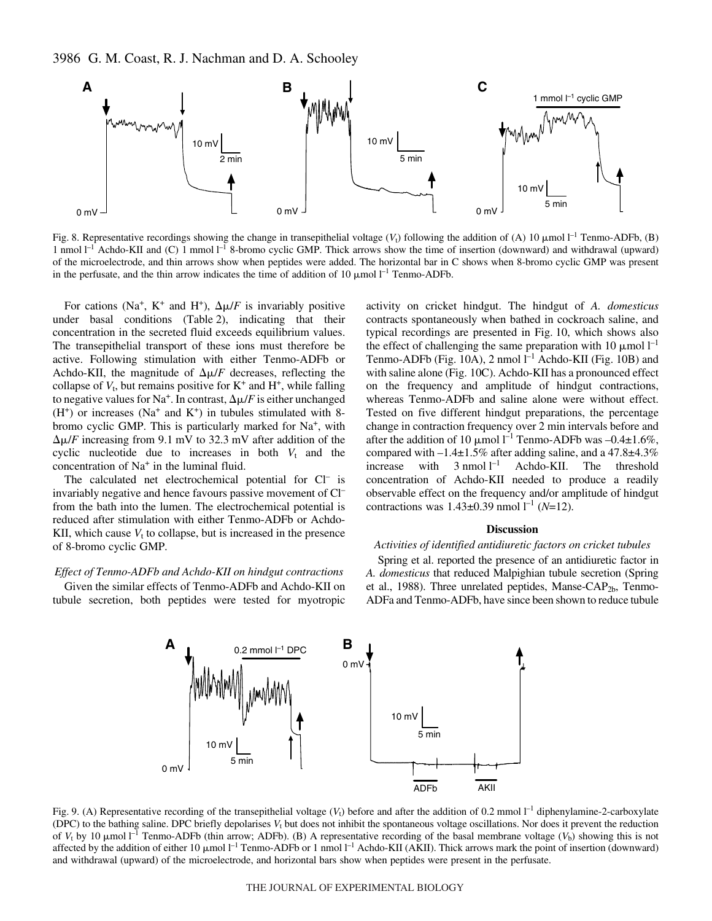

Fig. 8. Representative recordings showing the change in transepithelial voltage  $(V_t)$  following the addition of (A) 10  $\mu$ mol l<sup>-1</sup> Tenmo-ADFb, (B) 1 nmol  $l^{-1}$  Achdo-KII and (C) 1 mmol  $l^{-1}$  8-bromo cyclic GMP. Thick arrows show the time of insertion (downward) and withdrawal (upward) of the microelectrode, and thin arrows show when peptides were added. The horizontal bar in C shows when 8-bromo cyclic GMP was present in the perfusate, and the thin arrow indicates the time of addition of 10  $\mu$ mol l<sup>-1</sup> Tenmo-ADFb.

For cations (Na<sup>+</sup>, K<sup>+</sup> and H<sup>+</sup>),  $\Delta \mu/F$  is invariably positive under basal conditions (Table 2), indicating that their concentration in the secreted fluid exceeds equilibrium values. The transepithelial transport of these ions must therefore be active. Following stimulation with either Tenmo-ADFb or Achdo-KII, the magnitude of  $\Delta \mu / F$  decreases, reflecting the collapse of  $V_t$ , but remains positive for  $K^+$  and  $H^+$ , while falling to negative values for Na<sup>+</sup>. In contrast,  $\Delta \mu / F$  is either unchanged  $(H<sup>+</sup>)$  or increases (Na<sup>+</sup> and K<sup>+</sup>) in tubules stimulated with 8bromo cyclic GMP. This is particularly marked for Na+, with  $\Delta \mu$ /*F* increasing from 9.1 mV to 32.3 mV after addition of the cyclic nucleotide due to increases in both  $V_t$  and the concentration of  $Na<sup>+</sup>$  in the luminal fluid.

The calculated net electrochemical potential for Cl<sup>-</sup> is invariably negative and hence favours passive movement of Cl– from the bath into the lumen. The electrochemical potential is reduced after stimulation with either Tenmo-ADFb or Achdo-KII, which cause  $V_t$  to collapse, but is increased in the presence of 8-bromo cyclic GMP.

### *Effect of Tenmo-ADFb and Achdo-KII on hindgut contractions*

Given the similar effects of Tenmo-ADFb and Achdo-KII on tubule secretion, both peptides were tested for myotropic activity on cricket hindgut. The hindgut of *A. domesticus* contracts spontaneously when bathed in cockroach saline, and typical recordings are presented in Fig. 10, which shows also the effect of challenging the same preparation with 10  $\mu$ mol l<sup>-1</sup> Tenmo-ADFb (Fig. 10A), 2 nmol  $l^{-1}$  Achdo-KII (Fig. 10B) and with saline alone (Fig. 10C). Achdo-KII has a pronounced effect on the frequency and amplitude of hindgut contractions, whereas Tenmo-ADFb and saline alone were without effect. Tested on five different hindgut preparations, the percentage change in contraction frequency over 2 min intervals before and after the addition of 10  $\mu$ mol l<sup>-1</sup> Tenmo-ADFb was -0.4 $\pm$ 1.6%, compared with –1.4±1.5% after adding saline, and a 47.8±4.3% increase with  $3 \text{ nmol } l^{-1}$  Achdo-KII. The threshold concentration of Achdo-KII needed to produce a readily observable effect on the frequency and/or amplitude of hindgut contractions was  $1.43 \pm 0.39$  nmol  $l^{-1}$  (*N*=12).

#### **Discussion**

### *Activities of identified antidiuretic factors on cricket tubules*

Spring et al. reported the presence of an antidiuretic factor in *A. domesticus* that reduced Malpighian tubule secretion (Spring et al., 1988). Three unrelated peptides, Manse-CAP<sub>2b</sub>, Tenmo-ADFa and Tenmo-ADFb, have since been shown to reduce tubule



Fig. 9. (A) Representative recording of the transepithelial voltage  $(V_t)$  before and after the addition of 0.2 mmol  $I^{-1}$  diphenylamine-2-carboxylate (DPC) to the bathing saline. DPC briefly depolarises  $V_t$  but does not inhibit the spontaneous voltage oscillations. Nor does it prevent the reduction of  $V_t$  by 10  $\mu$ mol l<sup>-1</sup> Tenmo-ADFb (thin arrow; ADFb). (B) A representative recording of the basal membrane voltage ( $V_b$ ) showing this is not affected by the addition of either  $10 \mu$ mol  $l^{-1}$  Tenmo-ADFb or 1 nmol  $l^{-1}$  Achdo-KII (AKII). Thick arrows mark the point of insertion (downward) and withdrawal (upward) of the microelectrode, and horizontal bars show when peptides were present in the perfusate.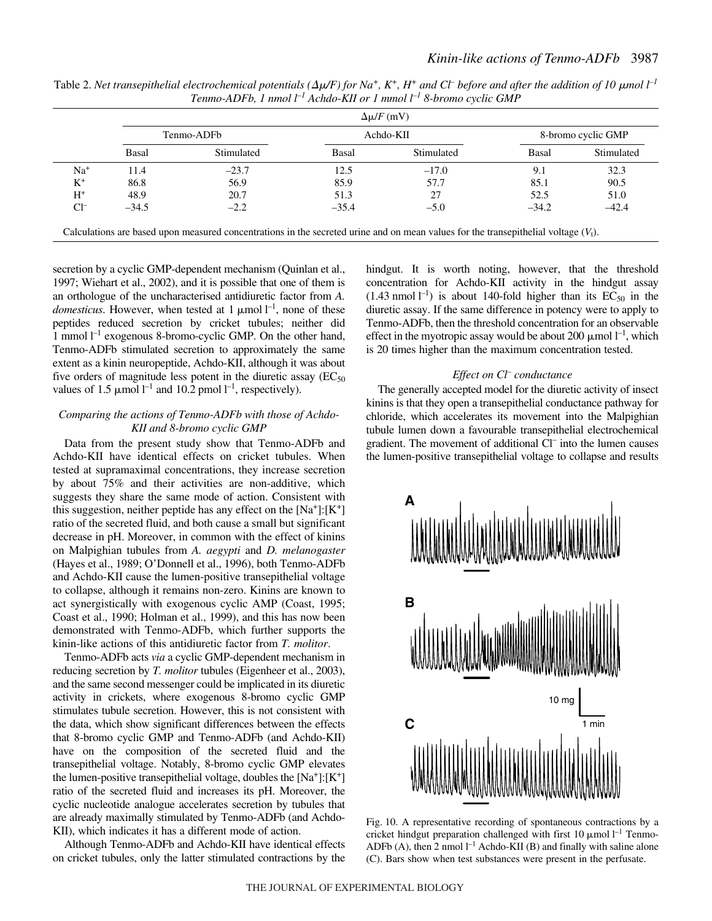|           | Tenmo-ADFb |            | Achdo-KII |            | 8-bromo cyclic GMP |            |
|-----------|------------|------------|-----------|------------|--------------------|------------|
|           | Basal      | Stimulated | Basal     | Stimulated | Basal              | Stimulated |
| $Na+$     | 11.4       | $-23.7$    | 12.5      | $-17.0$    | 9.1                | 32.3       |
| $K^+$     | 86.8       | 56.9       | 85.9      | 57.7       | 85.1               | 90.5       |
| $\rm H^+$ | 48.9       | 20.7       | 51.3      | 27         | 52.5               | 51.0       |
| $Cl^-$    | $-34.5$    | $-2.2$     | $-35.4$   | $-5.0$     | $-34.2$            | $-42.4$    |

Table 2. Net transepithelial electrochemical potentials ( $\Delta \mu$ /F) for Na<sup>+</sup>, K<sup>+</sup>, H<sup>+</sup> and Cl<sup>-</sup> before and after the addition of 10  $\mu$ mol l<sup>-1</sup> *Tenmo-ADFb, 1·nmol l–1 Achdo-KII or 1·mmol·l –1 8-bromo cyclic GMP*

secretion by a cyclic GMP-dependent mechanism (Quinlan et al., 1997; Wiehart et al., 2002), and it is possible that one of them is an orthologue of the uncharacterised antidiuretic factor from *A. domesticus*. However, when tested at 1  $\mu$ mol  $l^{-1}$ , none of these peptides reduced secretion by cricket tubules; neither did 1 mmol  $l^{-1}$  exogenous 8-bromo-cyclic GMP. On the other hand, Tenmo-ADFb stimulated secretion to approximately the same extent as a kinin neuropeptide, Achdo-KII, although it was about five orders of magnitude less potent in the diuretic assay  $(EC_{50})$ 

## *Comparing the actions of Tenmo-ADFb with those of Achdo-KII and 8-bromo cyclic GMP*

values of 1.5  $\mu$ mol l<sup>-1</sup> and 10.2 pmol l<sup>-1</sup>, respectively).

Data from the present study show that Tenmo-ADFb and Achdo-KII have identical effects on cricket tubules. When tested at supramaximal concentrations, they increase secretion by about 75% and their activities are non-additive, which suggests they share the same mode of action. Consistent with this suggestion, neither peptide has any effect on the  $[Na^+]$ :  $[K^+]$ ratio of the secreted fluid, and both cause a small but significant decrease in pH. Moreover, in common with the effect of kinins on Malpighian tubules from *A. aegypti* and *D. melanogaster* (Hayes et al., 1989; O'Donnell et al., 1996), both Tenmo-ADFb and Achdo-KII cause the lumen-positive transepithelial voltage to collapse, although it remains non-zero. Kinins are known to act synergistically with exogenous cyclic AMP (Coast, 1995; Coast et al., 1990; Holman et al., 1999), and this has now been demonstrated with Tenmo-ADFb, which further supports the kinin-like actions of this antidiuretic factor from *T. molitor*.

Tenmo-ADFb acts *via* a cyclic GMP-dependent mechanism in reducing secretion by *T. molitor* tubules (Eigenheer et al., 2003), and the same second messenger could be implicated in its diuretic activity in crickets, where exogenous 8-bromo cyclic GMP stimulates tubule secretion. However, this is not consistent with the data, which show significant differences between the effects that 8-bromo cyclic GMP and Tenmo-ADFb (and Achdo-KII) have on the composition of the secreted fluid and the transepithelial voltage. Notably, 8-bromo cyclic GMP elevates the lumen-positive transepithelial voltage, doubles the  $[Na^+]$ : $[K^+]$ ratio of the secreted fluid and increases its pH. Moreover, the cyclic nucleotide analogue accelerates secretion by tubules that are already maximally stimulated by Tenmo-ADFb (and Achdo-KII), which indicates it has a different mode of action.

Although Tenmo-ADFb and Achdo-KII have identical effects on cricket tubules, only the latter stimulated contractions by the hindgut. It is worth noting, however, that the threshold concentration for Achdo-KII activity in the hindgut assay  $(1.43 \text{ nmol } l^{-1})$  is about 140-fold higher than its EC<sub>50</sub> in the diuretic assay. If the same difference in potency were to apply to Tenmo-ADFb, then the threshold concentration for an observable effect in the myotropic assay would be about 200  $\mu$ mol  $l^{-1}$ , which is 20 times higher than the maximum concentration tested.

## *Effect on Cl– conductance*

The generally accepted model for the diuretic activity of insect kinins is that they open a transepithelial conductance pathway for chloride, which accelerates its movement into the Malpighian tubule lumen down a favourable transepithelial electrochemical gradient. The movement of additional Cl– into the lumen causes the lumen-positive transepithelial voltage to collapse and results



Fig. 10. A representative recording of spontaneous contractions by a cricket hindgut preparation challenged with first 10  $\mu$ mol l<sup>-1</sup> Tenmo-ADFb (A), then 2 nmol  $l^{-1}$  Achdo-KII (B) and finally with saline alone (C). Bars show when test substances were present in the perfusate.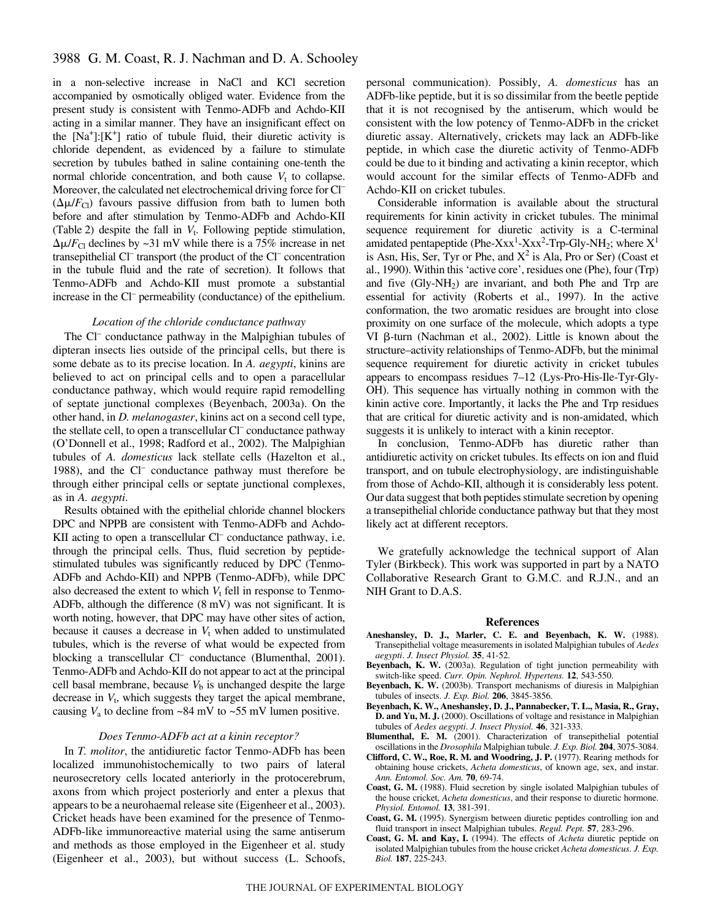in a non-selective increase in NaCl and KCl secretion accompanied by osmotically obliged water. Evidence from the present study is consistent with Tenmo-ADFb and Achdo-KII acting in a similar manner. They have an insignificant effect on the  $[Na^+]$ :  $[K^+]$  ratio of tubule fluid, their diuretic activity is chloride dependent, as evidenced by a failure to stimulate secretion by tubules bathed in saline containing one-tenth the normal chloride concentration, and both cause  $V_t$  to collapse. Moreover, the calculated net electrochemical driving force for Cl<sup>-</sup>  $(\Delta \mu / F_{\text{Cl}})$  favours passive diffusion from bath to lumen both before and after stimulation by Tenmo-ADFb and Achdo-KII (Table 2) despite the fall in  $V_t$ . Following peptide stimulation,  $\Delta \mu / F_{\text{Cl}}$  declines by ~31 mV while there is a 75% increase in net transepithelial Cl– transport (the product of the Cl– concentration in the tubule fluid and the rate of secretion). It follows that Tenmo-ADFb and Achdo-KII must promote a substantial increase in the Cl– permeability (conductance) of the epithelium.

### *Location of the chloride conductance pathway*

The Cl<sup>–</sup> conductance pathway in the Malpighian tubules of dipteran insects lies outside of the principal cells, but there is some debate as to its precise location. In *A. aegypti*, kinins are believed to act on principal cells and to open a paracellular conductance pathway, which would require rapid remodelling of septate junctional complexes (Beyenbach, 2003a). On the other hand, in *D. melanogaster*, kinins act on a second cell type, the stellate cell, to open a transcellular Cl<sup>-</sup> conductance pathway (O'Donnell et al., 1998; Radford et al., 2002). The Malpighian tubules of *A. domesticus* lack stellate cells (Hazelton et al., 1988), and the Cl<sup>-</sup> conductance pathway must therefore be through either principal cells or septate junctional complexes, as in *A. aegypti*.

Results obtained with the epithelial chloride channel blockers DPC and NPPB are consistent with Tenmo-ADFb and Achdo-KII acting to open a transcellular Cl<sup>–</sup> conductance pathway, i.e. through the principal cells. Thus, fluid secretion by peptidestimulated tubules was significantly reduced by DPC (Tenmo-ADFb and Achdo-KII) and NPPB (Tenmo-ADFb), while DPC also decreased the extent to which  $V_t$  fell in response to Tenmo-ADFb, although the difference  $(8 \text{ mV})$  was not significant. It is worth noting, however, that DPC may have other sites of action, because it causes a decrease in  $V_t$  when added to unstimulated tubules, which is the reverse of what would be expected from blocking a transcellular Cl<sup>-</sup> conductance (Blumenthal, 2001). Tenmo-ADFb and Achdo-KII do not appear to act at the principal cell basal membrane, because  $V<sub>b</sub>$  is unchanged despite the large decrease in  $V_t$ , which suggests they target the apical membrane, causing  $V_a$  to decline from ~84 mV to ~55 mV lumen positive.

#### *Does Tenmo-ADFb act at a kinin receptor?*

In *T. molitor*, the antidiuretic factor Tenmo-ADFb has been localized immunohistochemically to two pairs of lateral neurosecretory cells located anteriorly in the protocerebrum, axons from which project posteriorly and enter a plexus that appears to be a neurohaemal release site (Eigenheer et al., 2003). Cricket heads have been examined for the presence of Tenmo-ADFb-like immunoreactive material using the same antiserum and methods as those employed in the Eigenheer et al. study (Eigenheer et al., 2003), but without success (L. Schoofs, personal communication). Possibly, *A. domesticus* has an ADFb-like peptide, but it is so dissimilar from the beetle peptide that it is not recognised by the antiserum, which would be consistent with the low potency of Tenmo-ADFb in the cricket diuretic assay. Alternatively, crickets may lack an ADFb-like peptide, in which case the diuretic activity of Tenmo-ADFb could be due to it binding and activating a kinin receptor, which would account for the similar effects of Tenmo-ADFb and Achdo-KII on cricket tubules.

Considerable information is available about the structural requirements for kinin activity in cricket tubules. The minimal sequence requirement for diuretic activity is a C-terminal amidated pentapeptide (Phe-Xxx<sup>1</sup>-Xxx<sup>2</sup>-Trp-Gly-NH<sub>2</sub>; where  $X<sup>1</sup>$ is Asn, His, Ser, Tyr or Phe, and  $X^2$  is Ala, Pro or Ser) (Coast et al., 1990). Within this 'active core', residues one (Phe), four (Trp) and five  $(Gly-NH<sub>2</sub>)$  are invariant, and both Phe and Trp are essential for activity (Roberts et al., 1997). In the active conformation, the two aromatic residues are brought into close proximity on one surface of the molecule, which adopts a type VI β-turn (Nachman et al., 2002). Little is known about the structure–activity relationships of Tenmo-ADFb, but the minimal sequence requirement for diuretic activity in cricket tubules appears to encompass residues 7–12 (Lys-Pro-His-Ile-Tyr-Gly-OH). This sequence has virtually nothing in common with the kinin active core. Importantly, it lacks the Phe and Trp residues that are critical for diuretic activity and is non-amidated, which suggests it is unlikely to interact with a kinin receptor.

In conclusion, Tenmo-ADFb has diuretic rather than antidiuretic activity on cricket tubules. Its effects on ion and fluid transport, and on tubule electrophysiology, are indistinguishable from those of Achdo-KII, although it is considerably less potent. Our data suggest that both peptides stimulate secretion by opening a transepithelial chloride conductance pathway but that they most likely act at different receptors.

We gratefully acknowledge the technical support of Alan Tyler (Birkbeck). This work was supported in part by a NATO Collaborative Research Grant to G.M.C. and R.J.N., and an NIH Grant to D.A.S.

#### **References**

- **Aneshansley, D. J., Marler, C. E. and Beyenbach, K. W.** (1988). Transepithelial voltage measurements in isolated Malpighian tubules of *Aedes aegypti*. *J. Insect Physiol.* **35**, 41-52.
- **Beyenbach, K. W.** (2003a). Regulation of tight junction permeability with switch-like speed. *Curr. Opin. Nephrol. Hypertens.* **12**, 543-550.
- **Beyenbach, K. W.** (2003b). Transport mechanisms of diuresis in Malpighian tubules of insects. *J. Exp. Biol.* **206**, 3845-3856.
- **Beyenbach, K. W., Aneshansley, D. J., Pannabecker, T. L., Masia, R., Gray, D. and Yu, M. J.** (2000). Oscillations of voltage and resistance in Malpighian tubules of *Aedes aegypti*. *J. Insect Physiol.* **46**, 321-333.
- **Blumenthal, E. M.** (2001). Characterization of transepithelial potential oscillations in the *Drosophila* Malpighian tubule. *J. Exp. Biol.* **204**, 3075-3084.
- **Clifford, C. W., Roe, R. M. and Woodring, J. P.** (1977). Rearing methods for obtaining house crickets, *Acheta domesticus*, of known age, sex, and instar. *Ann. Entomol. Soc. Am.* **70**, 69-74.
- **Coast, G. M.** (1988). Fluid secretion by single isolated Malpighian tubules of the house cricket, *Acheta domesticus*, and their response to diuretic hormone. *Physiol. Entomol.* **13**, 381-391.
- **Coast, G. M.** (1995). Synergism between diuretic peptides controlling ion and fluid transport in insect Malpighian tubules. *Regul. Pept.* **57**, 283-296.
- **Coast, G. M. and Kay, I.** (1994). The effects of *Acheta* diuretic peptide on isolated Malpighian tubules from the house cricket *Acheta domesticus*. *J. Exp. Biol.* **187**, 225-243.